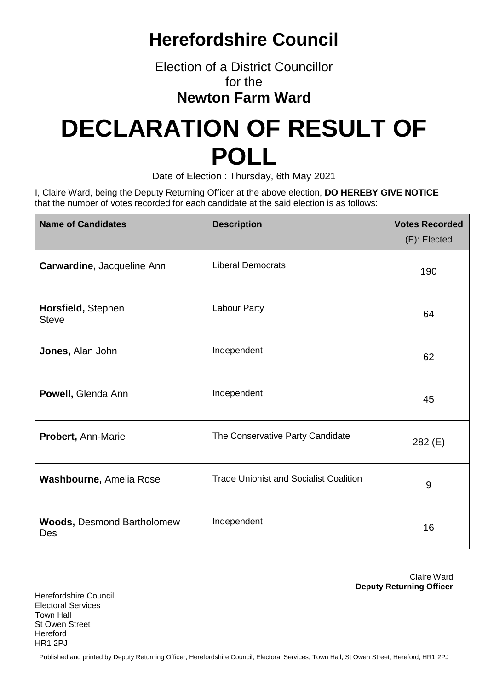## **Herefordshire Council**

Election of a District Councillor for the

### **Newton Farm Ward**

# **DECLARATION OF RESULT OF POLL**

Date of Election : Thursday, 6th May 2021

I, Claire Ward, being the Deputy Returning Officer at the above election, **DO HEREBY GIVE NOTICE** that the number of votes recorded for each candidate at the said election is as follows:

| <b>Name of Candidates</b>                | <b>Description</b>                            | <b>Votes Recorded</b><br>(E): Elected |
|------------------------------------------|-----------------------------------------------|---------------------------------------|
| Carwardine, Jacqueline Ann               | <b>Liberal Democrats</b>                      | 190                                   |
| Horsfield, Stephen<br><b>Steve</b>       | Labour Party                                  | 64                                    |
| Jones, Alan John                         | Independent                                   | 62                                    |
| Powell, Glenda Ann                       | Independent                                   | 45                                    |
| <b>Probert, Ann-Marie</b>                | The Conservative Party Candidate              | 282 (E)                               |
| <b>Washbourne, Amelia Rose</b>           | <b>Trade Unionist and Socialist Coalition</b> | 9                                     |
| <b>Woods, Desmond Bartholomew</b><br>Des | Independent                                   | 16                                    |

Claire Ward **Deputy Returning Officer**

Herefordshire Council Electoral Services Town Hall St Owen Street Hereford HR1 2PJ

Published and printed by Deputy Returning Officer, Herefordshire Council, Electoral Services, Town Hall, St Owen Street, Hereford, HR1 2PJ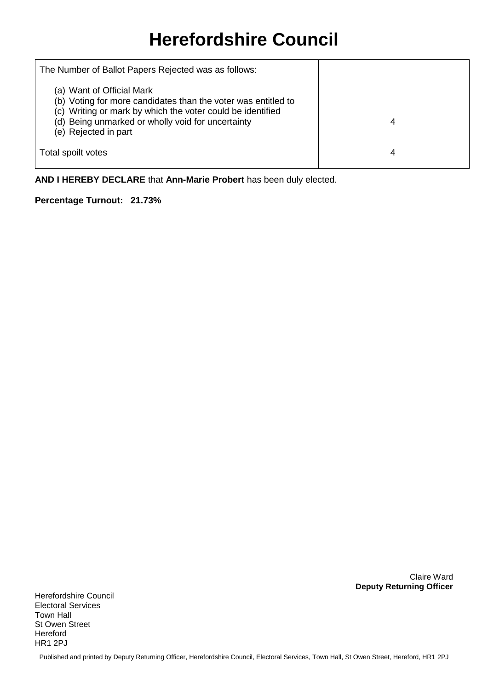## **Herefordshire Council**

| The Number of Ballot Papers Rejected was as follows:                                                                                                                                                                                  |   |
|---------------------------------------------------------------------------------------------------------------------------------------------------------------------------------------------------------------------------------------|---|
| (a) Want of Official Mark<br>(b) Voting for more candidates than the voter was entitled to<br>(c) Writing or mark by which the voter could be identified<br>(d) Being unmarked or wholly void for uncertainty<br>(e) Rejected in part | 4 |
| Total spoilt votes                                                                                                                                                                                                                    | 4 |

**AND I HEREBY DECLARE** that **Ann-Marie Probert** has been duly elected.

#### **Percentage Turnout: 21.73%**

Claire Ward **Deputy Returning Officer**

Herefordshire Council Electoral Services Town Hall St Owen Street Hereford HR1 2PJ

Published and printed by Deputy Returning Officer, Herefordshire Council, Electoral Services, Town Hall, St Owen Street, Hereford, HR1 2PJ